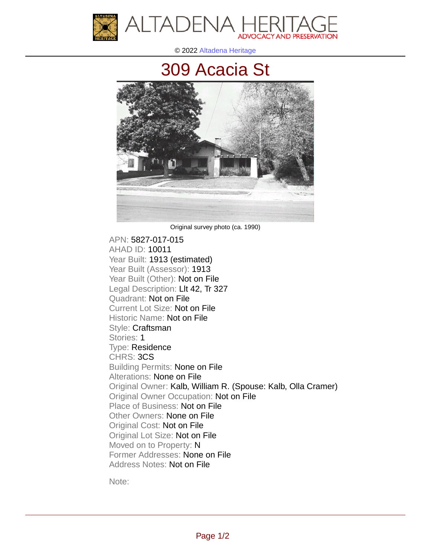

© 2022 [Altadena Heritage](http://altadenaheritage.org/)

## [309 Acacia St](ahad.altadenaheritagepdb.org/properties/10011)



Original survey photo (ca. 1990)

APN: 5827-017-015 [AHAD ID: 10011](ahad.altadenaheritagepdb.org/properties/10011) Year Built: 1913 (estimated) Year Built (Assessor): 1913 Year Built (Other): Not on File Legal Description: Llt 42, Tr 327 Quadrant: Not on File Current Lot Size: Not on File Historic Name: Not on File Style: Craftsman Stories: 1 Type: Residence CHRS: 3CS Building Permits: None on File Alterations: None on File Original Owner: Kalb, William R. (Spouse: Kalb, Olla Cramer) Original Owner Occupation: Not on File Place of Business: Not on File Other Owners: None on File Original Cost: Not on File Original Lot Size: Not on File Moved on to Property: N Former Addresses: None on File Address Notes: Not on File

Note: